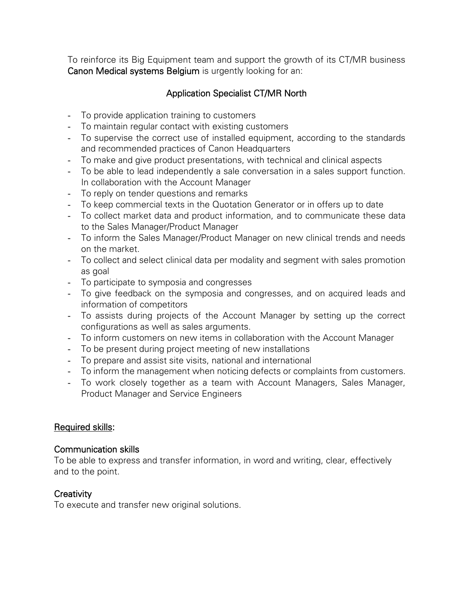To reinforce its Big Equipment team and support the growth of its CT/MR business Canon Medical systems Belgium is urgently looking for an:

# Application Specialist CT/MR North

- To provide application training to customers
- To maintain regular contact with existing customers
- To supervise the correct use of installed equipment, according to the standards and recommended practices of Canon Headquarters
- To make and give product presentations, with technical and clinical aspects
- To be able to lead independently a sale conversation in a sales support function. In collaboration with the Account Manager
- To reply on tender questions and remarks
- To keep commercial texts in the Quotation Generator or in offers up to date
- To collect market data and product information, and to communicate these data to the Sales Manager/Product Manager
- To inform the Sales Manager/Product Manager on new clinical trends and needs on the market.
- To collect and select clinical data per modality and segment with sales promotion as goal
- To participate to symposia and congresses
- To give feedback on the symposia and congresses, and on acquired leads and information of competitors
- To assists during projects of the Account Manager by setting up the correct configurations as well as sales arguments.
- To inform customers on new items in collaboration with the Account Manager
- To be present during project meeting of new installations
- To prepare and assist site visits, national and international
- To inform the management when noticing defects or complaints from customers.
- To work closely together as a team with Account Managers, Sales Manager, Product Manager and Service Engineers

## Required skills:

## Communication skills

To be able to express and transfer information, in word and writing, clear, effectively and to the point.

## **Creativity**

To execute and transfer new original solutions.